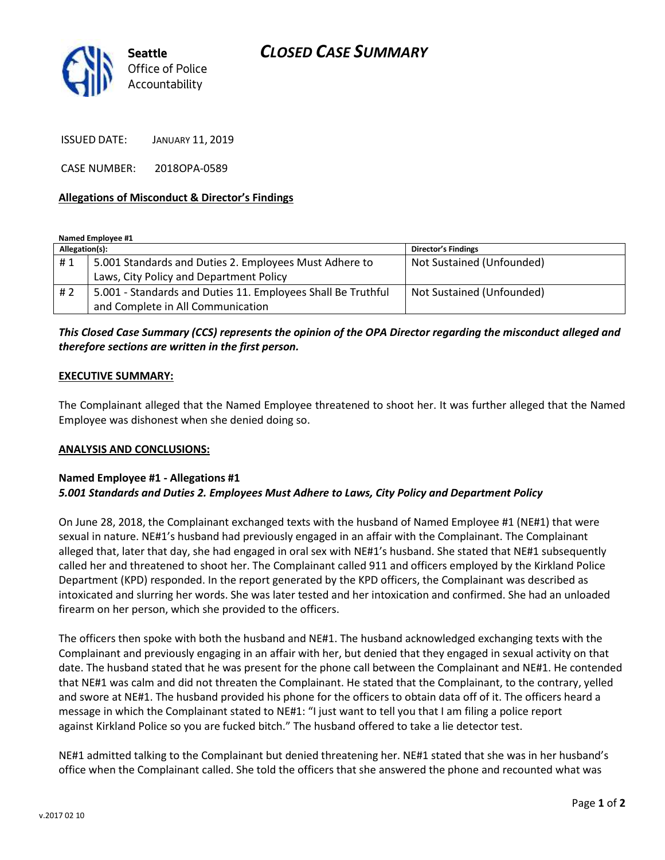# *CLOSED CASE SUMMARY*



ISSUED DATE: JANUARY 11, 2019

CASE NUMBER: 2018OPA-0589

### **Allegations of Misconduct & Director's Findings**

**Named Employee #1**

| Allegation(s): |                                                              | <b>Director's Findings</b> |
|----------------|--------------------------------------------------------------|----------------------------|
| #1             | 5.001 Standards and Duties 2. Employees Must Adhere to       | Not Sustained (Unfounded)  |
|                | Laws, City Policy and Department Policy                      |                            |
| # 2            | 5.001 - Standards and Duties 11. Employees Shall Be Truthful | Not Sustained (Unfounded)  |
|                | and Complete in All Communication                            |                            |

## *This Closed Case Summary (CCS) represents the opinion of the OPA Director regarding the misconduct alleged and therefore sections are written in the first person.*

#### **EXECUTIVE SUMMARY:**

The Complainant alleged that the Named Employee threatened to shoot her. It was further alleged that the Named Employee was dishonest when she denied doing so.

#### **ANALYSIS AND CONCLUSIONS:**

#### **Named Employee #1 - Allegations #1** *5.001 Standards and Duties 2. Employees Must Adhere to Laws, City Policy and Department Policy*

On June 28, 2018, the Complainant exchanged texts with the husband of Named Employee #1 (NE#1) that were sexual in nature. NE#1's husband had previously engaged in an affair with the Complainant. The Complainant alleged that, later that day, she had engaged in oral sex with NE#1's husband. She stated that NE#1 subsequently called her and threatened to shoot her. The Complainant called 911 and officers employed by the Kirkland Police Department (KPD) responded. In the report generated by the KPD officers, the Complainant was described as intoxicated and slurring her words. She was later tested and her intoxication and confirmed. She had an unloaded firearm on her person, which she provided to the officers.

The officers then spoke with both the husband and NE#1. The husband acknowledged exchanging texts with the Complainant and previously engaging in an affair with her, but denied that they engaged in sexual activity on that date. The husband stated that he was present for the phone call between the Complainant and NE#1. He contended that NE#1 was calm and did not threaten the Complainant. He stated that the Complainant, to the contrary, yelled and swore at NE#1. The husband provided his phone for the officers to obtain data off of it. The officers heard a message in which the Complainant stated to NE#1: "I just want to tell you that I am filing a police report against Kirkland Police so you are fucked bitch." The husband offered to take a lie detector test.

NE#1 admitted talking to the Complainant but denied threatening her. NE#1 stated that she was in her husband's office when the Complainant called. She told the officers that she answered the phone and recounted what was